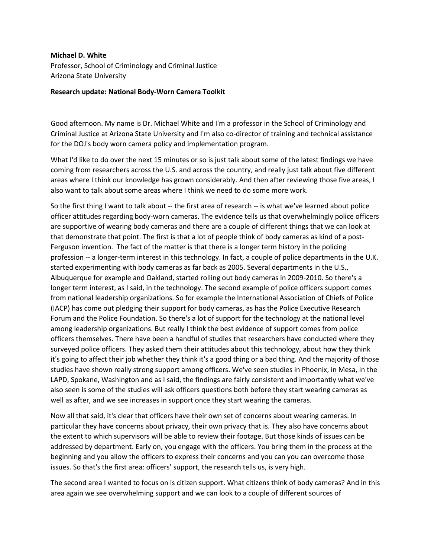## **Michael D. White**

Professor, School of Criminology and Criminal Justice Arizona State University

## **Research update: National Body-Worn Camera Toolkit**

Good afternoon. My name is Dr. Michael White and I'm a professor in the School of Criminology and Criminal Justice at Arizona State University and I'm also co-director of training and technical assistance for the DOJ's body worn camera policy and implementation program.

What I'd like to do over the next 15 minutes or so is just talk about some of the latest findings we have coming from researchers across the U.S. and across the country, and really just talk about five different areas where I think our knowledge has grown considerably. And then after reviewing those five areas, I also want to talk about some areas where I think we need to do some more work.

So the first thing I want to talk about -- the first area of research -- is what we've learned about police officer attitudes regarding body-worn cameras. The evidence tells us that overwhelmingly police officers are supportive of wearing body cameras and there are a couple of different things that we can look at that demonstrate that point. The first is that a lot of people think of body cameras as kind of a post-Ferguson invention. The fact of the matter is that there is a longer term history in the policing profession -- a longer-term interest in this technology. In fact, a couple of police departments in the U.K. started experimenting with body cameras as far back as 2005. Several departments in the U.S., Albuquerque for example and Oakland, started rolling out body cameras in 2009-2010. So there's a longer term interest, as I said, in the technology. The second example of police officers support comes from national leadership organizations. So for example the International Association of Chiefs of Police (IACP) has come out pledging their support for body cameras, as has the Police Executive Research Forum and the Police Foundation. So there's a lot of support for the technology at the national level among leadership organizations. But really I think the best evidence of support comes from police officers themselves. There have been a handful of studies that researchers have conducted where they surveyed police officers. They asked them their attitudes about this technology, about how they think it's going to affect their job whether they think it's a good thing or a bad thing. And the majority of those studies have shown really strong support among officers. We've seen studies in Phoenix, in Mesa, in the LAPD, Spokane, Washington and as I said, the findings are fairly consistent and importantly what we've also seen is some of the studies will ask officers questions both before they start wearing cameras as well as after, and we see increases in support once they start wearing the cameras.

Now all that said, it's clear that officers have their own set of concerns about wearing cameras. In particular they have concerns about privacy, their own privacy that is. They also have concerns about the extent to which supervisors will be able to review their footage. But those kinds of issues can be addressed by department. Early on, you engage with the officers. You bring them in the process at the beginning and you allow the officers to express their concerns and you can you can overcome those issues. So that's the first area: officers' support, the research tells us, is very high.

The second area I wanted to focus on is citizen support. What citizens think of body cameras? And in this area again we see overwhelming support and we can look to a couple of different sources of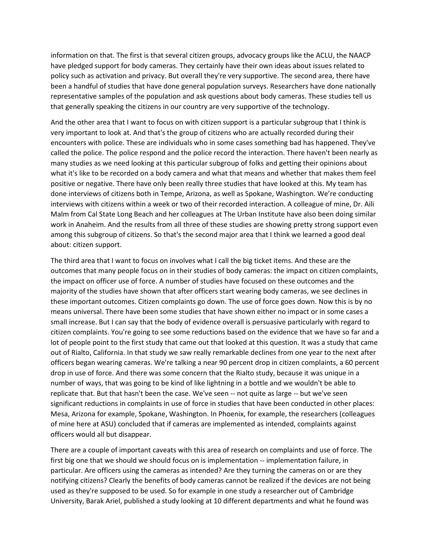information on that. The first is that several citizen groups, advocacy groups like the ACLU, the NAACP have pledged support for body cameras. They certainly have their own ideas about issues related to policy such as activation and privacy. But overall they're very supportive. The second area, there have been a handful of studies that have done general population surveys. Researchers have done nationally representative samples of the population and ask questions about body cameras. These studies tell us that generally speaking the citizens in our country are very supportive of the technology.

And the other area that I want to focus on with citizen support is a particular subgroup that I think is very important to look at. And that's the group of citizens who are actually recorded during their encounters with police. These are individuals who in some cases something bad has happened. They've called the police. The police respond and the police record the interaction. There haven't been nearly as many studies as we need looking at this particular subgroup of folks and getting their opinions about what it's like to be recorded on a body camera and what that means and whether that makes them feel positive or negative. There have only been really three studies that have looked at this. My team has done interviews of citizens both in Tempe, Arizona, as well as Spokane, Washington. We're conducting interviews with citizens within a week or two of their recorded interaction. A colleague of mine, Dr. Aili Malm from Cal State Long Beach and her colleagues at The Urban Institute have also been doing similar work in Anaheim. And the results from all three of these studies are showing pretty strong support even among this subgroup of citizens. So that's the second major area that I think we learned a good deal about: citizen support.

The third area that I want to focus on involves what I call the big ticket items. And these are the outcomes that many people focus on in their studies of body cameras: the impact on citizen complaints, the impact on officer use of force. A number of studies have focused on these outcomes and the majority of the studies have shown that after officers start wearing body cameras, we see declines in these important outcomes. Citizen complaints go down. The use of force goes down. Now this is by no means universal. There have been some studies that have shown either no impact or in some cases a small increase. But I can say that the body of evidence overall is persuasive particularly with regard to citizen complaints. You're going to see some reductions based on the evidence that we have so far and a lot of people point to the first study that came out that looked at this question. It was a study that came out of Rialto, California. In that study we saw really remarkable declines from one year to the next after officers began wearing cameras. We're talking a near 90 percent drop in citizen complaints, a 60 percent drop in use of force. And there was some concern that the Rialto study, because it was unique in a number of ways, that was going to be kind of like lightning in a bottle and we wouldn't be able to replicate that. But that hasn't been the case. We've seen -- not quite as large -- but we've seen significant reductions in complaints in use of force in studies that have been conducted in other places: Mesa, Arizona for example, Spokane, Washington. In Phoenix, for example, the researchers (colleagues of mine here at ASU) concluded that if cameras are implemented as intended, complaints against officers would all but disappear.

There are a couple of important caveats with this area of research on complaints and use of force. The first big one that we should we should focus on is implementation -- implementation failure, in particular. Are officers using the cameras as intended? Are they turning the cameras on or are they notifying citizens? Clearly the benefits of body cameras cannot be realized if the devices are not being used as they're supposed to be used. So for example in one study a researcher out of Cambridge University, Barak Ariel, published a study looking at 10 different departments and what he found was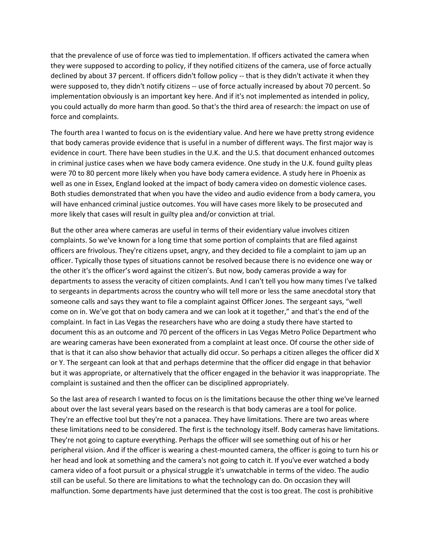that the prevalence of use of force was tied to implementation. If officers activated the camera when they were supposed to according to policy, if they notified citizens of the camera, use of force actually declined by about 37 percent. If officers didn't follow policy -- that is they didn't activate it when they were supposed to, they didn't notify citizens -- use of force actually increased by about 70 percent. So implementation obviously is an important key here. And if it's not implemented as intended in policy, you could actually do more harm than good. So that's the third area of research: the impact on use of force and complaints.

The fourth area I wanted to focus on is the evidentiary value. And here we have pretty strong evidence that body cameras provide evidence that is useful in a number of different ways. The first major way is evidence in court. There have been studies in the U.K. and the U.S. that document enhanced outcomes in criminal justice cases when we have body camera evidence. One study in the U.K. found guilty pleas were 70 to 80 percent more likely when you have body camera evidence. A study here in Phoenix as well as one in Essex, England looked at the impact of body camera video on domestic violence cases. Both studies demonstrated that when you have the video and audio evidence from a body camera, you will have enhanced criminal justice outcomes. You will have cases more likely to be prosecuted and more likely that cases will result in guilty plea and/or conviction at trial.

But the other area where cameras are useful in terms of their evidentiary value involves citizen complaints. So we've known for a long time that some portion of complaints that are filed against officers are frivolous. They're citizens upset, angry, and they decided to file a complaint to jam up an officer. Typically those types of situations cannot be resolved because there is no evidence one way or the other it's the officer's word against the citizen's. But now, body cameras provide a way for departments to assess the veracity of citizen complaints. And I can't tell you how many times I've talked to sergeants in departments across the country who will tell more or less the same anecdotal story that someone calls and says they want to file a complaint against Officer Jones. The sergeant says, "well come on in. We've got that on body camera and we can look at it together," and that's the end of the complaint. In fact in Las Vegas the researchers have who are doing a study there have started to document this as an outcome and 70 percent of the officers in Las Vegas Metro Police Department who are wearing cameras have been exonerated from a complaint at least once. Of course the other side of that is that it can also show behavior that actually did occur. So perhaps a citizen alleges the officer did X or Y. The sergeant can look at that and perhaps determine that the officer did engage in that behavior but it was appropriate, or alternatively that the officer engaged in the behavior it was inappropriate. The complaint is sustained and then the officer can be disciplined appropriately.

So the last area of research I wanted to focus on is the limitations because the other thing we've learned about over the last several years based on the research is that body cameras are a tool for police. They're an effective tool but they're not a panacea. They have limitations. There are two areas where these limitations need to be considered. The first is the technology itself. Body cameras have limitations. They're not going to capture everything. Perhaps the officer will see something out of his or her peripheral vision. And if the officer is wearing a chest-mounted camera, the officer is going to turn his or her head and look at something and the camera's not going to catch it. If you've ever watched a body camera video of a foot pursuit or a physical struggle it's unwatchable in terms of the video. The audio still can be useful. So there are limitations to what the technology can do. On occasion they will malfunction. Some departments have just determined that the cost is too great. The cost is prohibitive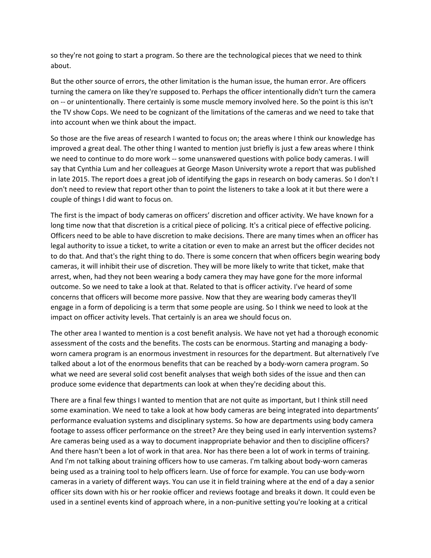so they're not going to start a program. So there are the technological pieces that we need to think about.

But the other source of errors, the other limitation is the human issue, the human error. Are officers turning the camera on like they're supposed to. Perhaps the officer intentionally didn't turn the camera on -- or unintentionally. There certainly is some muscle memory involved here. So the point is this isn't the TV show Cops. We need to be cognizant of the limitations of the cameras and we need to take that into account when we think about the impact.

So those are the five areas of research I wanted to focus on; the areas where I think our knowledge has improved a great deal. The other thing I wanted to mention just briefly is just a few areas where I think we need to continue to do more work -- some unanswered questions with police body cameras. I will say that Cynthia Lum and her colleagues at George Mason University wrote a report that was published in late 2015. The report does a great job of identifying the gaps in research on body cameras. So I don't I don't need to review that report other than to point the listeners to take a look at it but there were a couple of things I did want to focus on.

The first is the impact of body cameras on officers' discretion and officer activity. We have known for a long time now that that discretion is a critical piece of policing. It's a critical piece of effective policing. Officers need to be able to have discretion to make decisions. There are many times when an officer has legal authority to issue a ticket, to write a citation or even to make an arrest but the officer decides not to do that. And that's the right thing to do. There is some concern that when officers begin wearing body cameras, it will inhibit their use of discretion. They will be more likely to write that ticket, make that arrest, when, had they not been wearing a body camera they may have gone for the more informal outcome. So we need to take a look at that. Related to that is officer activity. I've heard of some concerns that officers will become more passive. Now that they are wearing body cameras they'll engage in a form of depolicing is a term that some people are using. So I think we need to look at the impact on officer activity levels. That certainly is an area we should focus on.

The other area I wanted to mention is a cost benefit analysis. We have not yet had a thorough economic assessment of the costs and the benefits. The costs can be enormous. Starting and managing a bodyworn camera program is an enormous investment in resources for the department. But alternatively I've talked about a lot of the enormous benefits that can be reached by a body-worn camera program. So what we need are several solid cost benefit analyses that weigh both sides of the issue and then can produce some evidence that departments can look at when they're deciding about this.

There are a final few things I wanted to mention that are not quite as important, but I think still need some examination. We need to take a look at how body cameras are being integrated into departments' performance evaluation systems and disciplinary systems. So how are departments using body camera footage to assess officer performance on the street? Are they being used in early intervention systems? Are cameras being used as a way to document inappropriate behavior and then to discipline officers? And there hasn't been a lot of work in that area. Nor has there been a lot of work in terms of training. And I'm not talking about training officers how to use cameras. I'm talking about body-worn cameras being used as a training tool to help officers learn. Use of force for example. You can use body-worn cameras in a variety of different ways. You can use it in field training where at the end of a day a senior officer sits down with his or her rookie officer and reviews footage and breaks it down. It could even be used in a sentinel events kind of approach where, in a non-punitive setting you're looking at a critical